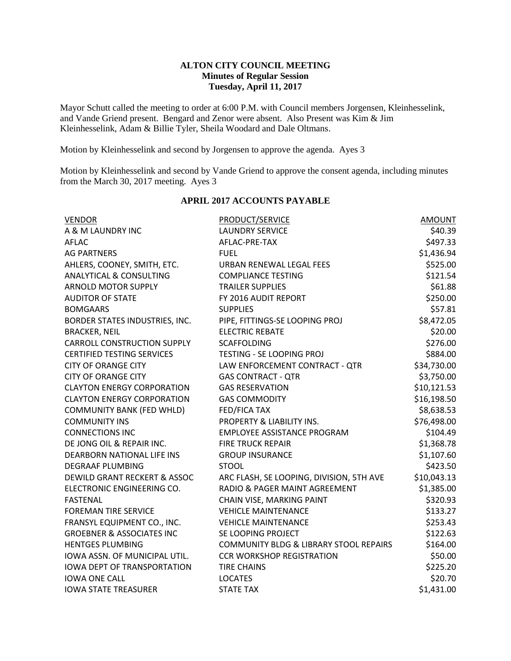# **ALTON CITY COUNCIL MEETING Minutes of Regular Session Tuesday, April 11, 2017**

Mayor Schutt called the meeting to order at 6:00 P.M. with Council members Jorgensen, Kleinhesselink, and Vande Griend present. Bengard and Zenor were absent. Also Present was Kim & Jim Kleinhesselink, Adam & Billie Tyler, Sheila Woodard and Dale Oltmans.

Motion by Kleinhesselink and second by Jorgensen to approve the agenda. Ayes 3

Motion by Kleinhesselink and second by Vande Griend to approve the consent agenda, including minutes from the March 30, 2017 meeting. Ayes 3

| <b>VENDOR</b>                           | PRODUCT/SERVICE                          | <b>AMOUNT</b> |
|-----------------------------------------|------------------------------------------|---------------|
| A & M LAUNDRY INC                       | <b>LAUNDRY SERVICE</b>                   | \$40.39       |
| AFLAC                                   | AFLAC-PRE-TAX                            | \$497.33      |
| <b>AG PARTNERS</b>                      | <b>FUFL</b>                              | \$1,436.94    |
| AHLERS, COONEY, SMITH, ETC.             | URBAN RENEWAL LEGAL FEES                 | \$525.00      |
| <b>ANALYTICAL &amp; CONSULTING</b>      | <b>COMPLIANCE TESTING</b>                | \$121.54      |
| <b>ARNOLD MOTOR SUPPLY</b>              | <b>TRAILER SUPPLIES</b>                  | \$61.88       |
| <b>AUDITOR OF STATE</b>                 | FY 2016 AUDIT REPORT                     | \$250.00      |
| <b>BOMGAARS</b>                         | <b>SUPPLIES</b>                          | \$57.81       |
| BORDER STATES INDUSTRIES, INC.          | PIPE, FITTINGS-SE LOOPING PROJ           | \$8,472.05    |
| <b>BRACKER, NEIL</b>                    | <b>ELECTRIC REBATE</b>                   | \$20.00       |
| <b>CARROLL CONSTRUCTION SUPPLY</b>      | <b>SCAFFOLDING</b>                       | \$276.00      |
| <b>CERTIFIED TESTING SERVICES</b>       | <b>TESTING - SE LOOPING PROJ</b>         | \$884.00      |
| <b>CITY OF ORANGE CITY</b>              | LAW ENFORCEMENT CONTRACT - QTR           | \$34,730.00   |
| <b>CITY OF ORANGE CITY</b>              | <b>GAS CONTRACT - QTR</b>                | \$3,750.00    |
| <b>CLAYTON ENERGY CORPORATION</b>       | <b>GAS RESERVATION</b>                   | \$10,121.53   |
| <b>CLAYTON ENERGY CORPORATION</b>       | <b>GAS COMMODITY</b>                     | \$16,198.50   |
| <b>COMMUNITY BANK (FED WHLD)</b>        | <b>FED/FICA TAX</b>                      | \$8,638.53    |
| <b>COMMUNITY INS</b>                    | PROPERTY & LIABILITY INS.                | \$76,498.00   |
| <b>CONNECTIONS INC</b>                  | <b>EMPLOYEE ASSISTANCE PROGRAM</b>       | \$104.49      |
| DE JONG OIL & REPAIR INC.               | <b>FIRE TRUCK REPAIR</b>                 | \$1,368.78    |
| DEARBORN NATIONAL LIFE INS              | <b>GROUP INSURANCE</b>                   | \$1,107.60    |
| <b>DEGRAAF PLUMBING</b>                 | <b>STOOL</b>                             | \$423.50      |
| <b>DEWILD GRANT RECKERT &amp; ASSOC</b> | ARC FLASH, SE LOOPING, DIVISION, 5TH AVE | \$10,043.13   |
| ELECTRONIC ENGINEERING CO.              | RADIO & PAGER MAINT AGREEMENT            | \$1,385.00    |
| <b>FASTENAL</b>                         | CHAIN VISE, MARKING PAINT                | \$320.93      |
| <b>FOREMAN TIRE SERVICE</b>             | <b>VEHICLE MAINTENANCE</b>               | \$133.27      |
| FRANSYL EQUIPMENT CO., INC.             | <b>VEHICLE MAINTENANCE</b>               | \$253.43      |
| <b>GROEBNER &amp; ASSOCIATES INC</b>    | SE LOOPING PROJECT                       | \$122.63      |
| <b>HENTGES PLUMBING</b>                 | COMMUNITY BLDG & LIBRARY STOOL REPAIRS   | \$164.00      |
| IOWA ASSN. OF MUNICIPAL UTIL.           | <b>CCR WORKSHOP REGISTRATION</b>         | \$50.00       |
| <b>IOWA DEPT OF TRANSPORTATION</b>      | <b>TIRE CHAINS</b>                       | \$225.20      |
| <b>IOWA ONE CALL</b>                    | <b>LOCATES</b>                           | \$20.70       |
| <b>IOWA STATE TREASURER</b>             | <b>STATE TAX</b>                         | \$1,431.00    |
|                                         |                                          |               |

### **APRIL 2017 ACCOUNTS PAYABLE**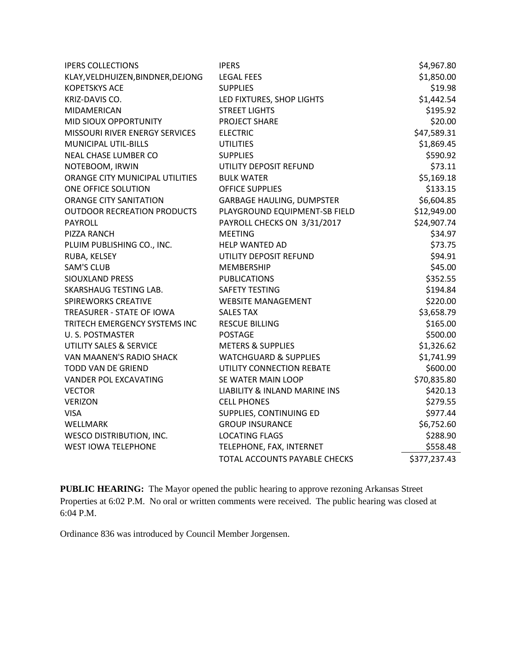| <b>IPERS COLLECTIONS</b>           | <b>IPERS</b>                             | \$4,967.80   |
|------------------------------------|------------------------------------------|--------------|
| KLAY, VELDHUIZEN, BINDNER, DEJONG  | <b>LEGAL FEES</b>                        | \$1,850.00   |
| <b>KOPETSKYS ACE</b>               | <b>SUPPLIES</b>                          | \$19.98      |
| KRIZ-DAVIS CO.                     | LED FIXTURES, SHOP LIGHTS                | \$1,442.54   |
| MIDAMERICAN                        | <b>STREET LIGHTS</b>                     | \$195.92     |
| MID SIOUX OPPORTUNITY              | PROJECT SHARE                            | \$20.00      |
| MISSOURI RIVER ENERGY SERVICES     | <b>ELECTRIC</b>                          | \$47,589.31  |
| <b>MUNICIPAL UTIL-BILLS</b>        | <b>UTILITIES</b>                         | \$1,869.45   |
| NEAL CHASE LUMBER CO               | <b>SUPPLIES</b>                          | \$590.92     |
| NOTEBOOM, IRWIN                    | UTILITY DEPOSIT REFUND                   | \$73.11      |
| ORANGE CITY MUNICIPAL UTILITIES    | <b>BULK WATER</b>                        | \$5,169.18   |
| ONE OFFICE SOLUTION                | <b>OFFICE SUPPLIES</b>                   | \$133.15     |
| <b>ORANGE CITY SANITATION</b>      | <b>GARBAGE HAULING, DUMPSTER</b>         | \$6,604.85   |
| <b>OUTDOOR RECREATION PRODUCTS</b> | PLAYGROUND EQUIPMENT-SB FIELD            | \$12,949.00  |
| <b>PAYROLL</b>                     | PAYROLL CHECKS ON 3/31/2017              | \$24,907.74  |
| PIZZA RANCH                        | <b>MEETING</b>                           | \$34.97      |
| PLUIM PUBLISHING CO., INC.         | <b>HELP WANTED AD</b>                    | \$73.75      |
| RUBA, KELSEY                       | UTILITY DEPOSIT REFUND                   | \$94.91      |
| <b>SAM'S CLUB</b>                  | <b>MEMBERSHIP</b>                        | \$45.00      |
| <b>SIOUXLAND PRESS</b>             | <b>PUBLICATIONS</b>                      | \$352.55     |
| SKARSHAUG TESTING LAB.             | SAFETY TESTING                           | \$194.84     |
| <b>SPIREWORKS CREATIVE</b>         | <b>WEBSITE MANAGEMENT</b>                | \$220.00     |
| TREASURER - STATE OF IOWA          | <b>SALES TAX</b>                         | \$3,658.79   |
| TRITECH EMERGENCY SYSTEMS INC      | <b>RESCUE BILLING</b>                    | \$165.00     |
| <b>U.S. POSTMASTER</b>             | <b>POSTAGE</b>                           | \$500.00     |
| UTILITY SALES & SERVICE            | <b>METERS &amp; SUPPLIES</b>             | \$1,326.62   |
| VAN MAANEN'S RADIO SHACK           | <b>WATCHGUARD &amp; SUPPLIES</b>         | \$1,741.99   |
| <b>TODD VAN DE GRIEND</b>          | UTILITY CONNECTION REBATE                | \$600.00     |
| <b>VANDER POL EXCAVATING</b>       | SE WATER MAIN LOOP                       | \$70,835.80  |
| <b>VECTOR</b>                      | <b>LIABILITY &amp; INLAND MARINE INS</b> | \$420.13     |
| <b>VERIZON</b>                     | <b>CELL PHONES</b>                       | \$279.55     |
| <b>VISA</b>                        | SUPPLIES, CONTINUING ED                  | \$977.44     |
| WELLMARK                           | <b>GROUP INSURANCE</b>                   | \$6,752.60   |
| <b>WESCO DISTRIBUTION, INC.</b>    | <b>LOCATING FLAGS</b>                    | \$288.90     |
| <b>WEST IOWA TELEPHONE</b>         | TELEPHONE, FAX, INTERNET                 | \$558.48     |
|                                    | TOTAL ACCOUNTS PAYABLE CHECKS            | \$377,237.43 |

**PUBLIC HEARING:** The Mayor opened the public hearing to approve rezoning Arkansas Street Properties at 6:02 P.M. No oral or written comments were received. The public hearing was closed at 6:04 P.M.

Ordinance 836 was introduced by Council Member Jorgensen.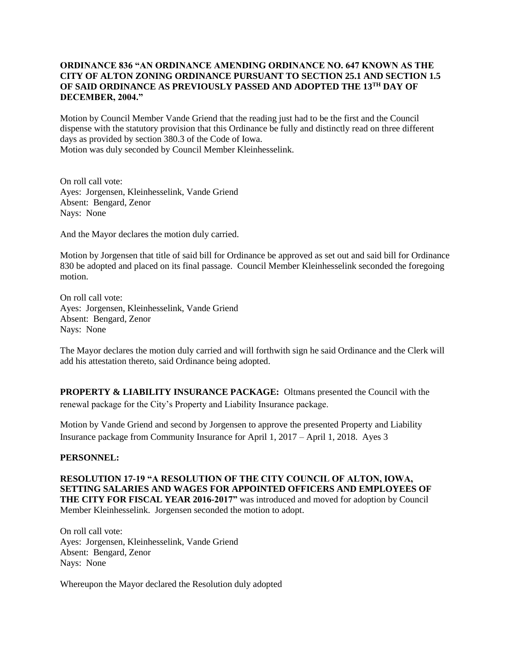## **ORDINANCE 836 "AN ORDINANCE AMENDING ORDINANCE NO. 647 KNOWN AS THE CITY OF ALTON ZONING ORDINANCE PURSUANT TO SECTION 25.1 AND SECTION 1.5 OF SAID ORDINANCE AS PREVIOUSLY PASSED AND ADOPTED THE 13TH DAY OF DECEMBER, 2004."**

Motion by Council Member Vande Griend that the reading just had to be the first and the Council dispense with the statutory provision that this Ordinance be fully and distinctly read on three different days as provided by section 380.3 of the Code of Iowa. Motion was duly seconded by Council Member Kleinhesselink.

On roll call vote: Ayes: Jorgensen, Kleinhesselink, Vande Griend Absent: Bengard, Zenor Nays: None

And the Mayor declares the motion duly carried.

Motion by Jorgensen that title of said bill for Ordinance be approved as set out and said bill for Ordinance 830 be adopted and placed on its final passage. Council Member Kleinhesselink seconded the foregoing motion.

On roll call vote: Ayes: Jorgensen, Kleinhesselink, Vande Griend Absent: Bengard, Zenor Nays: None

The Mayor declares the motion duly carried and will forthwith sign he said Ordinance and the Clerk will add his attestation thereto, said Ordinance being adopted.

**PROPERTY & LIABILITY INSURANCE PACKAGE:** Oltmans presented the Council with the renewal package for the City's Property and Liability Insurance package.

Motion by Vande Griend and second by Jorgensen to approve the presented Property and Liability Insurance package from Community Insurance for April 1, 2017 – April 1, 2018. Ayes 3

### **PERSONNEL:**

**RESOLUTION 17-19 "A RESOLUTION OF THE CITY COUNCIL OF ALTON, IOWA, SETTING SALARIES AND WAGES FOR APPOINTED OFFICERS AND EMPLOYEES OF THE CITY FOR FISCAL YEAR 2016-2017"** was introduced and moved for adoption by Council Member Kleinhesselink. Jorgensen seconded the motion to adopt.

On roll call vote: Ayes: Jorgensen, Kleinhesselink, Vande Griend Absent: Bengard, Zenor Nays: None

Whereupon the Mayor declared the Resolution duly adopted